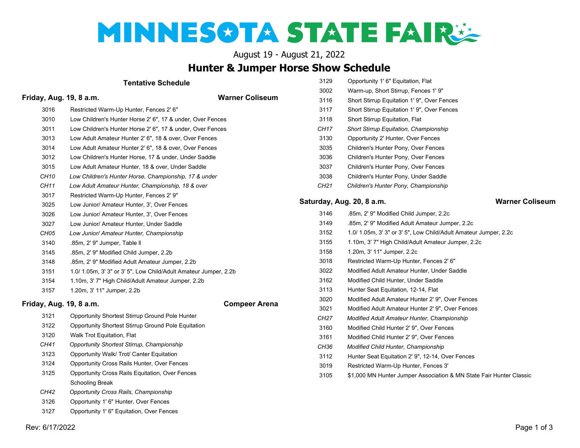# MINNESOTA STATE FAIRS

August 19 - August 21, 2022

## **Hunter & Jumper Horse Show Schedule**

| <b>Tentative Schedule</b> |                                                               |                                                  | Opportunity 1' 6" Equitation, Flat                                  |  |
|---------------------------|---------------------------------------------------------------|--------------------------------------------------|---------------------------------------------------------------------|--|
|                           |                                                               |                                                  | Warm-up, Short Stirrup, Fences 1' 9"                                |  |
| Friday, Aug. 19, 8 a.m.   | <b>Warner Coliseum</b>                                        | 3116                                             | Short Stirrup Equitation 1' 9", Over Fences                         |  |
| 3016                      | Restricted Warm-Up Hunter, Fences 2' 6"                       | 3117                                             | Short Stirrup Equitation 1' 9", Over Fences                         |  |
| 3010                      | Low Children's Hunter Horse 2' 6", 17 & under, Over Fences    | 3118                                             | Short Stirrup Equitation, Flat                                      |  |
| 3011                      | Low Children's Hunter Horse 2' 6", 17 & under, Over Fences    | CH <sub>17</sub>                                 | Short Stirrup Equitation, Championship                              |  |
| 3013                      | Low Adult Amateur Hunter 2' 6", 18 & over, Over Fences        | 3130                                             | Opportunity 2' Hunter, Over Fences                                  |  |
| 3014                      | Low Adult Amateur Hunter 2' 6", 18 & over, Over Fences        | 3035                                             | Children's Hunter Pony, Over Fences                                 |  |
| 3012                      | Low Children's Hunter Horse, 17 & under, Under Saddle         | 3036                                             | Children's Hunter Pony, Over Fences                                 |  |
| 3015                      | Low Adult Amateur Hunter, 18 & over, Under Saddle             | 3037                                             | Children's Hunter Pony, Over Fences                                 |  |
| CH <sub>10</sub>          | Low Children's Hunter Horse, Championship, 17 & under         | 3038                                             | Children's Hunter Pony, Under Saddle                                |  |
| CH11                      | Low Adult Amateur Hunter, Championship, 18 & over             | CH21                                             | Children's Hunter Pony, Championship                                |  |
| 3017                      | Restricted Warm-Up Hunter, Fences 2' 9"                       |                                                  |                                                                     |  |
| 3025                      | Low Junior/ Amateur Hunter, 3', Over Fences                   |                                                  | <b>Warner Co</b><br>Saturday, Aug. 20, 8 a.m.                       |  |
| 3026                      | Low Junior/ Amateur Hunter, 3', Over Fences                   | 3146                                             | .85m, 2' 9" Modified Child Jumper, 2.2c                             |  |
| 3027                      | Low Junior/ Amateur Hunter, Under Saddle                      | 3149                                             | .85m, 2' 9" Modified Adult Amateur Jumper, 2.2c                     |  |
| CH05                      | Low Junior/ Amateur Hunter, Championship                      | 3152                                             | 1.0/ 1.05m, 3' 3" or 3' 5", Low Child/Adult Amateur Jumper, 2.2c    |  |
| 3140                      | .85m, 2' 9" Jumper, Table II                                  | 3155                                             | 1.10m, 3' 7" High Child/Adult Amateur Jumper, 2.2c                  |  |
| 3145                      | .85m, 2' 9" Modified Child Jumper, 2.2b                       | 3158                                             | 1.20m, 3' 11" Jumper, 2.2c                                          |  |
| 3148                      | .85m, 2' 9" Modified Adult Amateur Jumper, 2.2b               | 3018                                             | Restricted Warm-Up Hunter, Fences 2' 6"                             |  |
| 3151                      | 1.0/1.05m, 3'3" or 3'5", Low Child/Adult Amateur Jumper, 2.2b |                                                  | Modified Adult Amateur Hunter, Under Saddle                         |  |
| 3154                      | 1.10m, 3' 7" High Child/Adult Amateur Jumper, 2.2b            |                                                  | Modified Child Hunter, Under Saddle                                 |  |
| 3157                      | 1.20m, 3' 11" Jumper, 2.2b                                    | 3113                                             | Hunter Seat Equitation, 12-14, Flat                                 |  |
| Friday, Aug. 19, 8 a.m.   | <b>Compeer Arena</b>                                          | 3020                                             | Modified Adult Amateur Hunter 2' 9", Over Fences                    |  |
|                           |                                                               | 3021                                             | Modified Adult Amateur Hunter 2' 9", Over Fences                    |  |
| 3121                      | Opportunity Shortest Stirrup Ground Pole Hunter               | CH27                                             | Modified Adult Amateur Hunter, Championship                         |  |
| 3122                      | Opportunity Shortest Stirrup Ground Pole Equitation           | 3160<br>Modified Child Hunter 2' 9", Over Fences |                                                                     |  |
| 3120                      | Walk Trot Equitation, Flat                                    | 3161                                             | Modified Child Hunter 2' 9", Over Fences                            |  |
| CH41                      | Opportunity Shortest Stirrup, Championship                    | CH36<br>Modified Child Hunter, Championship      |                                                                     |  |
| 3123                      | Opportunity Walk/ Trot/ Canter Equitation                     |                                                  | Hunter Seat Equitation 2' 9", 12-14, Over Fences                    |  |
| 3124                      | Opportunity Cross Rails Hunter, Over Fences                   | 3019                                             | Restricted Warm-Up Hunter, Fences 3'                                |  |
| 3125                      | Opportunity Cross Rails Equitation, Over Fences               | 3105                                             | \$1,000 MN Hunter Jumper Association & MN State Fair Hunter Classic |  |
|                           | <b>Schooling Break</b>                                        |                                                  |                                                                     |  |
| CH42                      | Opportunity Cross Rails, Championship                         |                                                  |                                                                     |  |
| 3126                      | Opportunity 1' 6" Hunter, Over Fences                         |                                                  |                                                                     |  |
| 3127                      | Opportunity 1' 6" Equitation, Over Fences                     |                                                  |                                                                     |  |

**Saturday, Aug. 20, 8 a.m. Warner Coliseum**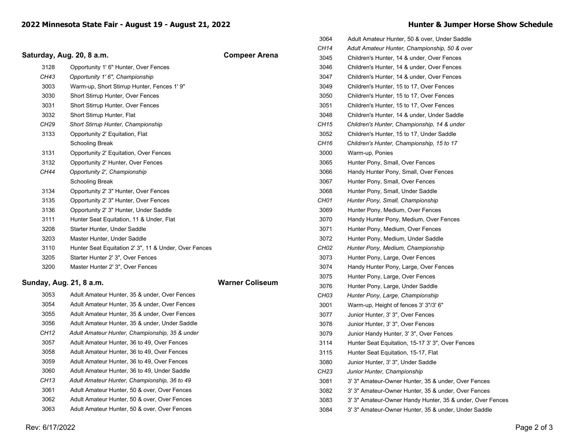### Saturday, Aug. 20, 8 a.m. **COMPENS** Compeer Arena

| 3128 | Opportunity 1' 6" Hunter, Over Fences                 |
|------|-------------------------------------------------------|
| CH43 | Opportunity 1' 6", Championship                       |
| 3003 | Warm-up, Short Stirrup Hunter, Fences 1' 9"           |
| 3030 | Short Stirrup Hunter, Over Fences                     |
| 3031 | <b>Short Stirrup Hunter, Over Fences</b>              |
| 3032 | Short Stirrup Hunter, Flat                            |
| CH29 | <b>Short Stirrup Hunter, Championship</b>             |
| 3133 | Opportunity 2' Equitation, Flat                       |
|      | Schooling Break                                       |
| 3131 | Opportunity 2' Equitation, Over Fences                |
| 3132 | Opportunity 2' Hunter, Over Fences                    |
| CH44 | Opportunity 2', Championship                          |
|      | Schooling Break                                       |
| 3134 | Opportunity 2' 3" Hunter, Over Fences                 |
| 3135 | Opportunity 2' 3" Hunter, Over Fences                 |
| 3136 | Opportunity 2' 3" Hunter, Under Saddle                |
| 3111 | Hunter Seat Equitation, 11 & Under, Flat              |
| 3208 | Starter Hunter, Under Saddle                          |
| 3203 | Master Hunter, Under Saddle                           |
| 3110 | Hunter Seat Equitation 2' 3", 11 & Under, Over Fences |
| 3205 | Starter Hunter 2' 3", Over Fences                     |
| 3200 | Master Hunter 2' 3", Over Fences                      |

#### **Sunday, Aug. 21, 8 a.m. Warner Coliseum**

| 3053 | Adult Amateur Hunter, 35 & under, Over Fences  |
|------|------------------------------------------------|
| 3054 | Adult Amateur Hunter, 35 & under, Over Fences  |
| 3055 | Adult Amateur Hunter, 35 & under, Over Fences  |
| 3056 | Adult Amateur Hunter, 35 & under, Under Saddle |
| CH12 | Adult Amateur Hunter, Championship, 35 & under |
| 3057 | Adult Amateur Hunter, 36 to 49, Over Fences    |
| 3058 | Adult Amateur Hunter, 36 to 49, Over Fences    |
| 3059 | Adult Amateur Hunter, 36 to 49, Over Fences    |
| 3060 | Adult Amateur Hunter, 36 to 49, Under Saddle   |
| CH13 | Adult Amateur Hunter, Championship, 36 to 49   |
| 3061 | Adult Amateur Hunter, 50 & over, Over Fences   |
| 3062 | Adult Amateur Hunter, 50 & over, Over Fences   |
| 3063 | Adult Amateur Hunter, 50 & over, Over Fences   |
|      |                                                |

|  |  | Hunter & Jumper Horse Show Schedule |
|--|--|-------------------------------------|
|  |  |                                     |

| 3064             | Adult Amateur Hunter, 50 & over, Under Saddle             |
|------------------|-----------------------------------------------------------|
| CH14             | Adult Amateur Hunter, Championship, 50 & over             |
| 3045             | Children's Hunter, 14 & under, Over Fences                |
| 3046             | Children's Hunter, 14 & under, Over Fences                |
| 3047             | Children's Hunter, 14 & under, Over Fences                |
| 3049             | Children's Hunter, 15 to 17, Over Fences                  |
| 3050             | Children's Hunter, 15 to 17, Over Fences                  |
| 3051             | Children's Hunter, 15 to 17, Over Fences                  |
| 3048             | Children's Hunter, 14 & under, Under Saddle               |
| CH15             | Children's Hunter, Championship, 14 & under               |
| 3052             | Children's Hunter, 15 to 17, Under Saddle                 |
| CH16             | Children's Hunter, Championship, 15 to 17                 |
| 3000             | Warm-up, Ponies                                           |
| 3065             | Hunter Pony, Small, Over Fences                           |
| 3066             | Handy Hunter Pony, Small, Over Fences                     |
| 3067             | Hunter Pony, Small, Over Fences                           |
| 3068             | Hunter Pony, Small, Under Saddle                          |
| CH01             | Hunter Pony, Small, Championship                          |
| 3069             | Hunter Pony, Medium, Over Fences                          |
| 3070             | Handy Hunter Pony, Medium, Over Fences                    |
| 3071             | Hunter Pony, Medium, Over Fences                          |
| 3072             | Hunter Pony, Medium, Under Saddle                         |
| CH02             | Hunter Pony, Medium, Championship                         |
| 3073             | Hunter Pony, Large, Over Fences                           |
| 3074             | Handy Hunter Pony, Large, Over Fences                     |
| 3075             | Hunter Pony, Large, Over Fences                           |
| 3076             | Hunter Pony, Large, Under Saddle                          |
| СН03             | Hunter Pony, Large, Championship                          |
| 3001             | Warm-up, Height of fences 3' 3"/3' 6"                     |
| 3077             | Junior Hunter, 3' 3", Over Fences                         |
| 3078             | Junior Hunter, 3' 3", Over Fences                         |
| 3079             | Junior Handy Hunter, 3' 3", Over Fences                   |
| 3114             | Hunter Seat Equitation, 15-17 3' 3", Over Fences          |
| 3115             | Hunter Seat Equitation, 15-17, Flat                       |
| 3080             | Junior Hunter, 3' 3", Under Saddle                        |
| CH <sub>23</sub> | Junior Hunter, Championship                               |
| 3081             | 3' 3" Amateur-Owner Hunter, 35 & under, Over Fences       |
| 3082             | 3' 3" Amateur-Owner Hunter, 35 & under, Over Fences       |
| 3083             | 3' 3" Amateur-Owner Handy Hunter, 35 & under, Over Fences |
| 3084             | 3' 3" Amateur-Owner Hunter, 35 & under, Under Saddle      |